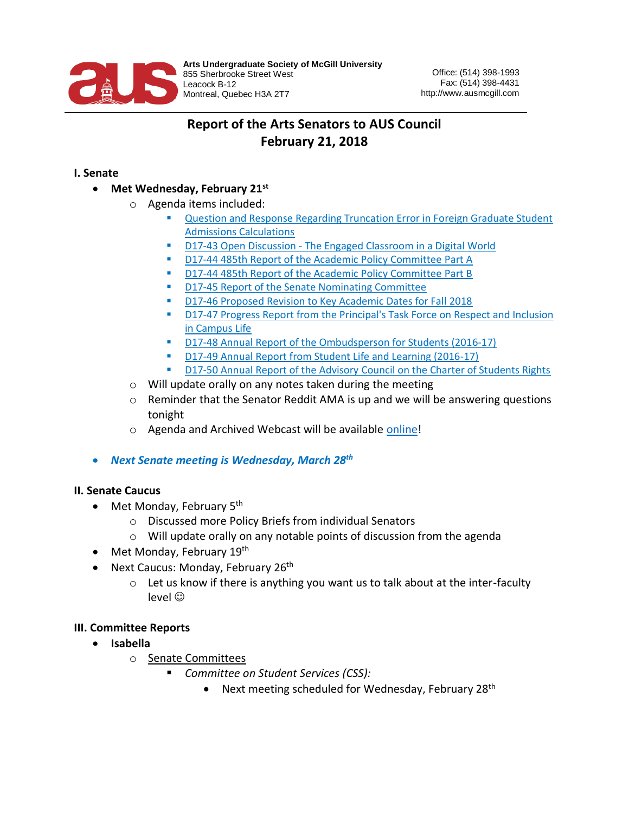

# **Report of the Arts Senators to AUS Council February 21, 2018**

### **I. Senate**

- **Met Wednesday, February 21st**
	- o Agenda items included:
		- Question and Response Regarding Truncation Error in Foreign Graduate Student [Admissions Calculations](https://www.mcgill.ca/senate/files/senate/4._question_and_response_re_truncation_error.pdf)
		- D17-43 Open Discussion [The Engaged Classroom in a Digital World](https://www.mcgill.ca/senate/files/senate/5._d17-43_open_discussion_on_the_engaged_classroom.pdf)
		- [D17-44 485th Report of the Academic Policy Committee Part A](https://www.mcgill.ca/senate/files/senate/6a._d17-44_485th_apc_report_part_a.pdf)
		- [D17-44 485th Report of the Academic Policy Committee Part B](https://www.mcgill.ca/senate/files/senate/6b._d17-44_485th_apc_report_part_b.pdf)
		- [D17-45 Report of the Senate Nominating Committee](https://www.mcgill.ca/senate/files/senate/7._d17-45_nominating_report.pdf)
		- [D17-46 Proposed Revision to Key Academic Dates for Fall 2018](https://www.mcgill.ca/senate/files/senate/8._d17-46_revision_to_key_academic_dates_for_fall_2018.pdf)
		- D17-47 Progress Report from the Principal's Task Force on Respect and Inclusion [in Campus Life](https://www.mcgill.ca/senate/files/senate/9._d17-47_task_force_on_respect_and_inclusion_progress_report_0.pdf)
		- [D17-48 Annual Report of the Ombudsperson for Students \(2016-17\)](https://www.mcgill.ca/senate/files/senate/10._d17-48_ombudsperson_for_students_annual_report.pdf)
		- [D17-49 Annual Report from Student Life and Learning \(2016-17\)](https://www.mcgill.ca/senate/files/senate/11._d17-49_student_life_and_learning_annual_report.pdf)
		- [D17-50 Annual Report of the Advisory Council on the Charter of Students Rights](https://www.mcgill.ca/senate/files/senate/12._d17-50_advisory_council_on_the_charter_of_students_rights_annual_report.pdf)
	- o Will update orally on any notes taken during the meeting
	- $\circ$  Reminder that the Senator Reddit AMA is up and we will be answering questions tonight
	- o Agenda and Archived Webcast will be available [online!](https://www.mcgill.ca/senate/senate-2017-2018)
- *Next Senate meeting is Wednesday, March 28th*

#### **II. Senate Caucus**

- Met Monday, February 5<sup>th</sup>
	- o Discussed more Policy Briefs from individual Senators
	- o Will update orally on any notable points of discussion from the agenda
- Met Monday, February 19<sup>th</sup>
- Next Caucus: Monday, February 26<sup>th</sup>
	- $\circ$  Let us know if there is anything you want us to talk about at the inter-faculty level ☺

#### **III. Committee Reports**

- **Isabella** 
	- o Senate Committees
		- *Committee on Student Services (CSS):*
			- Next meeting scheduled for Wednesday, February 28<sup>th</sup>